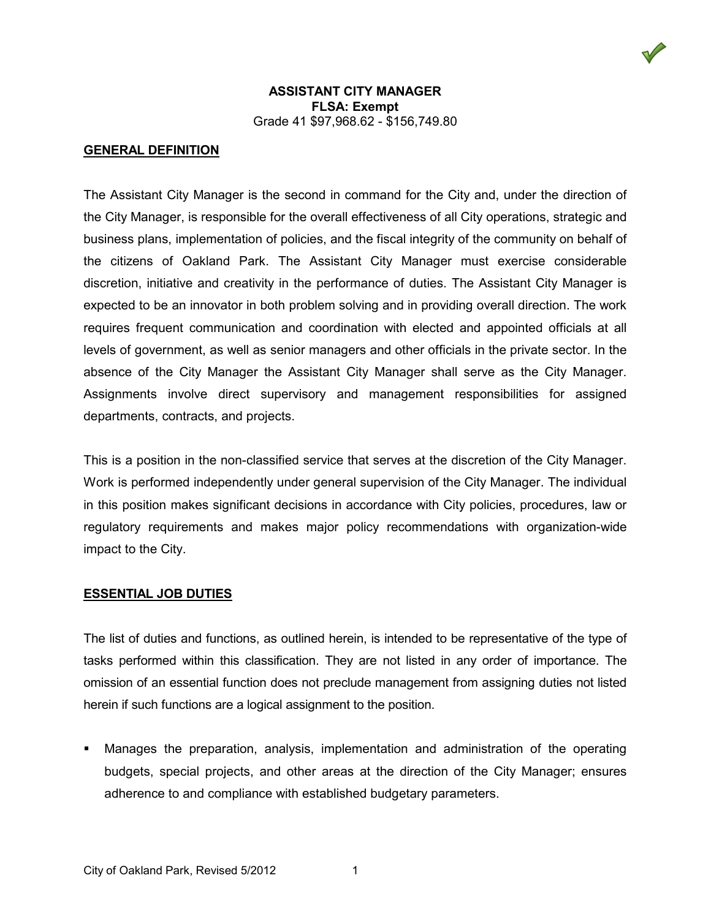

### **GENERAL DEFINITION**

The Assistant City Manager is the second in command for the City and, under the direction of the City Manager, is responsible for the overall effectiveness of all City operations, strategic and business plans, implementation of policies, and the fiscal integrity of the community on behalf of the citizens of Oakland Park. The Assistant City Manager must exercise considerable discretion, initiative and creativity in the performance of duties. The Assistant City Manager is expected to be an innovator in both problem solving and in providing overall direction. The work requires frequent communication and coordination with elected and appointed officials at all levels of government, as well as senior managers and other officials in the private sector. In the absence of the City Manager the Assistant City Manager shall serve as the City Manager. Assignments involve direct supervisory and management responsibilities for assigned departments, contracts, and projects.

This is a position in the non-classified service that serves at the discretion of the City Manager. Work is performed independently under general supervision of the City Manager. The individual in this position makes significant decisions in accordance with City policies, procedures, law or regulatory requirements and makes major policy recommendations with organization-wide impact to the City.

#### **ESSENTIAL JOB DUTIES**

The list of duties and functions, as outlined herein, is intended to be representative of the type of tasks performed within this classification. They are not listed in any order of importance. The omission of an essential function does not preclude management from assigning duties not listed herein if such functions are a logical assignment to the position.

 Manages the preparation, analysis, implementation and administration of the operating budgets, special projects, and other areas at the direction of the City Manager; ensures adherence to and compliance with established budgetary parameters.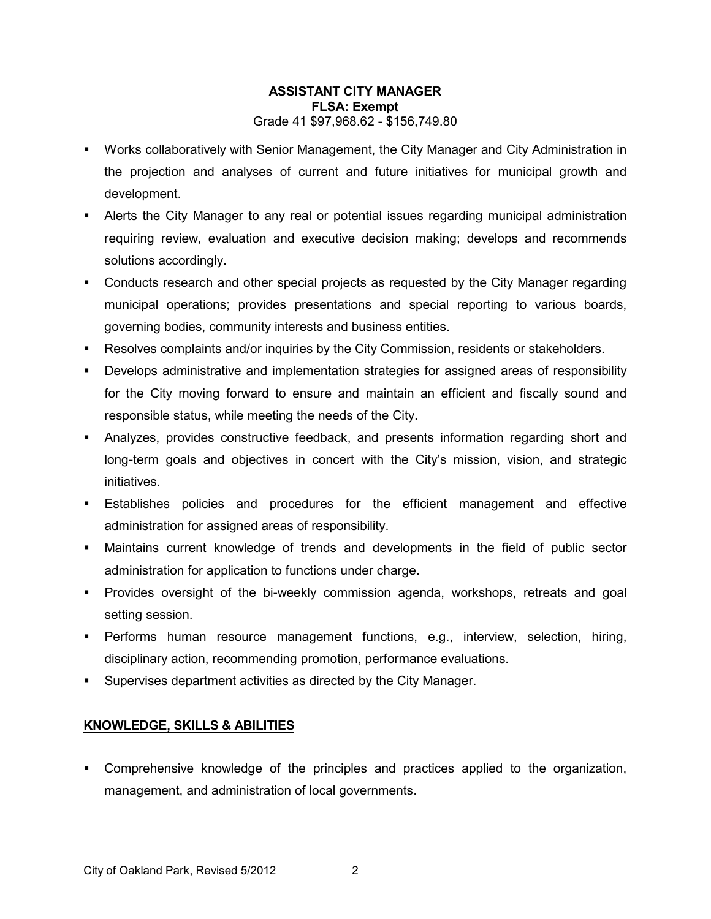- Works collaboratively with Senior Management, the City Manager and City Administration in the projection and analyses of current and future initiatives for municipal growth and development.
- Alerts the City Manager to any real or potential issues regarding municipal administration requiring review, evaluation and executive decision making; develops and recommends solutions accordingly.
- Conducts research and other special projects as requested by the City Manager regarding municipal operations; provides presentations and special reporting to various boards, governing bodies, community interests and business entities.
- Resolves complaints and/or inquiries by the City Commission, residents or stakeholders.
- Develops administrative and implementation strategies for assigned areas of responsibility for the City moving forward to ensure and maintain an efficient and fiscally sound and responsible status, while meeting the needs of the City.
- Analyzes, provides constructive feedback, and presents information regarding short and long-term goals and objectives in concert with the City's mission, vision, and strategic initiatives.
- Establishes policies and procedures for the efficient management and effective administration for assigned areas of responsibility.
- Maintains current knowledge of trends and developments in the field of public sector administration for application to functions under charge.
- Provides oversight of the bi-weekly commission agenda, workshops, retreats and goal setting session.
- Performs human resource management functions, e.g., interview, selection, hiring, disciplinary action, recommending promotion, performance evaluations.
- Supervises department activities as directed by the City Manager.

# **KNOWLEDGE, SKILLS & ABILITIES**

 Comprehensive knowledge of the principles and practices applied to the organization, management, and administration of local governments.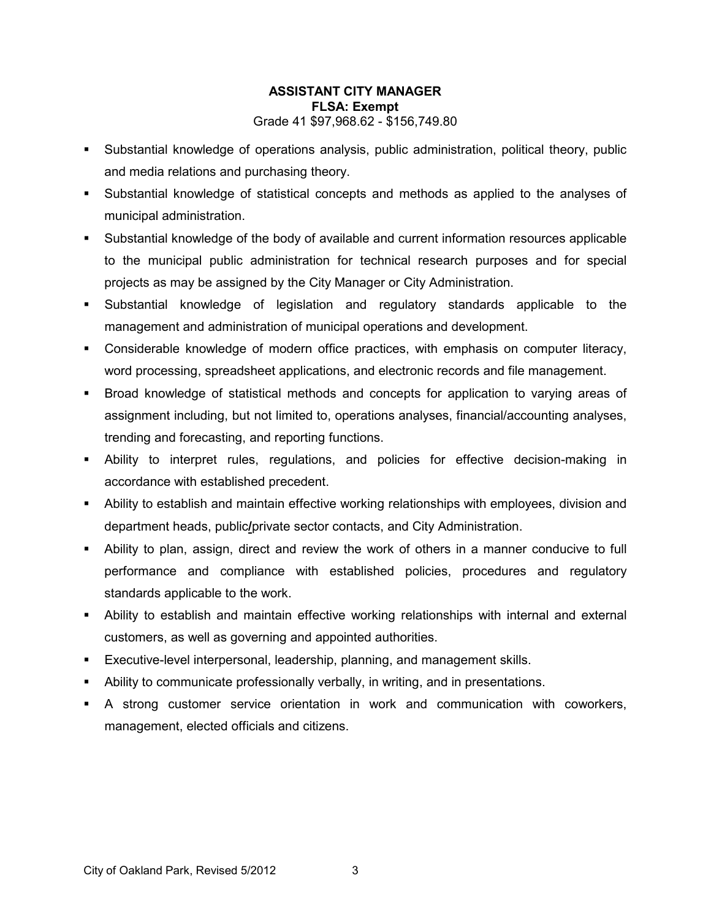- Substantial knowledge of operations analysis, public administration, political theory, public and media relations and purchasing theory.
- Substantial knowledge of statistical concepts and methods as applied to the analyses of municipal administration.
- Substantial knowledge of the body of available and current information resources applicable to the municipal public administration for technical research purposes and for special projects as may be assigned by the City Manager or City Administration.
- Substantial knowledge of legislation and regulatory standards applicable to the management and administration of municipal operations and development.
- Considerable knowledge of modern office practices, with emphasis on computer literacy, word processing, spreadsheet applications, and electronic records and file management.
- Broad knowledge of statistical methods and concepts for application to varying areas of assignment including, but not limited to, operations analyses, financial/accounting analyses, trending and forecasting, and reporting functions.
- Ability to interpret rules, regulations, and policies for effective decision-making in accordance with established precedent.
- Ability to establish and maintain effective working relationships with employees, division and department heads, public**/**private sector contacts, and City Administration.
- Ability to plan, assign, direct and review the work of others in a manner conducive to full performance and compliance with established policies, procedures and regulatory standards applicable to the work.
- Ability to establish and maintain effective working relationships with internal and external customers, as well as governing and appointed authorities.
- Executive-level interpersonal, leadership, planning, and management skills.
- Ability to communicate professionally verbally, in writing, and in presentations.
- A strong customer service orientation in work and communication with coworkers, management, elected officials and citizens.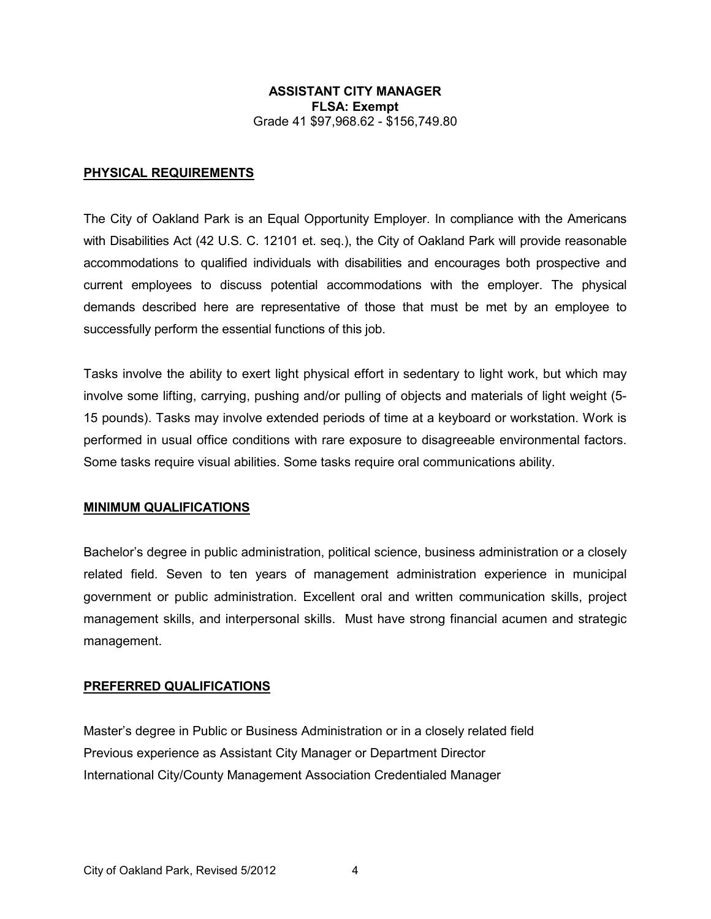#### **PHYSICAL REQUIREMENTS**

The City of Oakland Park is an Equal Opportunity Employer. In compliance with the Americans with Disabilities Act (42 U.S. C. 12101 et. seq.), the City of Oakland Park will provide reasonable accommodations to qualified individuals with disabilities and encourages both prospective and current employees to discuss potential accommodations with the employer. The physical demands described here are representative of those that must be met by an employee to successfully perform the essential functions of this job.

Tasks involve the ability to exert light physical effort in sedentary to light work, but which may involve some lifting, carrying, pushing and/or pulling of objects and materials of light weight (5- 15 pounds). Tasks may involve extended periods of time at a keyboard or workstation. Work is performed in usual office conditions with rare exposure to disagreeable environmental factors. Some tasks require visual abilities. Some tasks require oral communications ability.

#### **MINIMUM QUALIFICATIONS**

Bachelor's degree in public administration, political science, business administration or a closely related field. Seven to ten years of management administration experience in municipal government or public administration. Excellent oral and written communication skills, project management skills, and interpersonal skills. Must have strong financial acumen and strategic management.

#### **PREFERRED QUALIFICATIONS**

Master's degree in Public or Business Administration or in a closely related field Previous experience as Assistant City Manager or Department Director International City/County Management Association Credentialed Manager